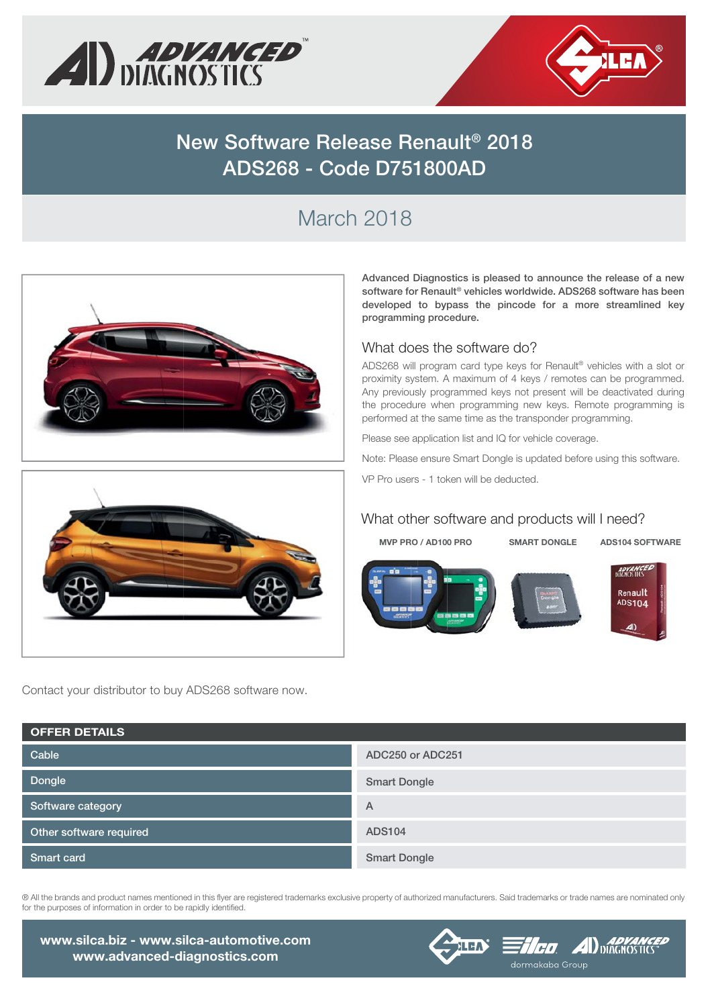



# **New Software Release Renault® 2018 ADS268 - Code D751800AD**

# March 2018



**Advanced Diagnostics is pleased to announce the release of a new software for Renault® vehicles worldwide. ADS268 software has been developed to bypass the pincode for a more streamlined key programming procedure.**

#### What does the software do?

ADS268 will program card type keys for Renault® vehicles with a slot or proximity system. A maximum of 4 keys / remotes can be programmed. Any previously programmed keys not present will be deactivated during the procedure when programming new keys. Remote programming is performed at the same time as the transponder programming.

Please see application list and IQ for vehicle coverage.

Note: Please ensure Smart Dongle is updated before using this software. VP Pro users - 1 token will be deducted.

#### What other software and products will I need?

**MVP PRO / AD100 PRO SMART DONGLE ADS104 SOFTWARE**







Contact your distributor to buy ADS268 software now.

| <b>OFFER DETAILS</b>    |                     |
|-------------------------|---------------------|
| Cable                   | ADC250 or ADC251    |
| Dongle                  | <b>Smart Dongle</b> |
| Software category       | A                   |
| Other software required | <b>ADS104</b>       |
| <b>Smart card</b>       | <b>Smart Dongle</b> |

® All the brands and product names mentioned in this flyer are registered trademarks exclusive property of authorized manufacturers. Said trademarks or trade names are nominated only for the purposes of information in order to be rapidly identified.

**www.silca.biz - www.silca-automotive.com www.advanced-diagnostics.com**